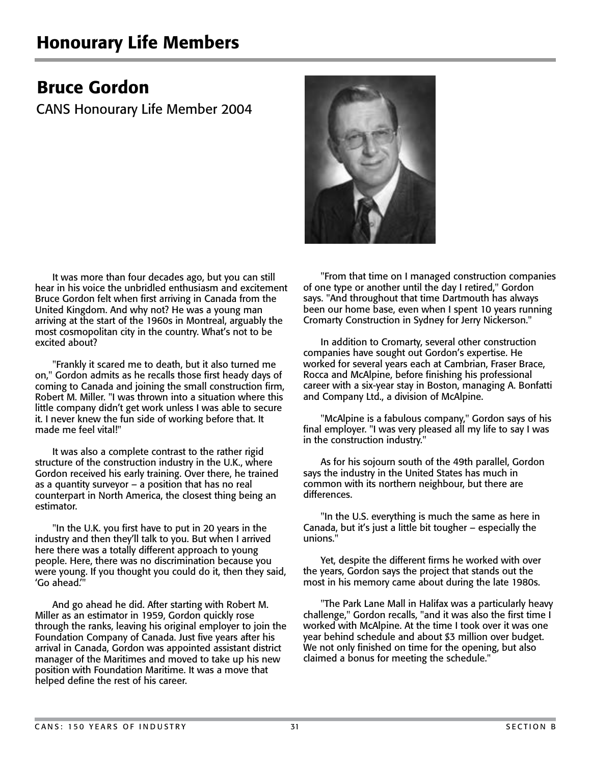## Bruce Gordon

CANS Honourary Life Member 2004

 It was more than four decades ago, but you can still hear in his voice the unbridled enthusiasm and excitement Bruce Gordon felt when first arriving in Canada from the United Kingdom. And why not? He was a young man arriving at the start of the 1960s in Montreal, arguably the most cosmopolitan city in the country. What's not to be excited about?

 "Frankly it scared me to death, but it also turned me on," Gordon admits as he recalls those first heady days of coming to Canada and joining the small construction firm, Robert M. Miller. "I was thrown into a situation where this little company didn't get work unless I was able to secure it. I never knew the fun side of working before that. It made me feel vital!"

 It was also a complete contrast to the rather rigid structure of the construction industry in the U.K., where Gordon received his early training. Over there, he trained as a quantity surveyor – a position that has no real counterpart in North America, the closest thing being an estimator.

 "In the U.K. you first have to put in 20 years in the industry and then they'll talk to you. But when I arrived here there was a totally different approach to young people. Here, there was no discrimination because you were young. If you thought you could do it, then they said, 'Go ahead.'"

 And go ahead he did. After starting with Robert M. Miller as an estimator in 1959, Gordon quickly rose through the ranks, leaving his original employer to join the Foundation Company of Canada. Just five years after his arrival in Canada, Gordon was appointed assistant district manager of the Maritimes and moved to take up his new position with Foundation Maritime. It was a move that helped define the rest of his career.



 "From that time on I managed construction companies of one type or another until the day I retired," Gordon says. "And throughout that time Dartmouth has always been our home base, even when I spent 10 years running Cromarty Construction in Sydney for Jerry Nickerson."

 In addition to Cromarty, several other construction companies have sought out Gordon's expertise. He worked for several years each at Cambrian, Fraser Brace, Rocca and McAlpine, before finishing his professional career with a six-year stay in Boston, managing A. Bonfatti and Company Ltd., a division of McAlpine.

 "McAlpine is a fabulous company," Gordon says of his final employer. "I was very pleased all my life to say I was in the construction industry."

 As for his sojourn south of the 49th parallel, Gordon says the industry in the United States has much in common with its northern neighbour, but there are differences.

 "In the U.S. everything is much the same as here in Canada, but it's just a little bit tougher – especially the unions."

 Yet, despite the different firms he worked with over the years, Gordon says the project that stands out the most in his memory came about during the late 1980s.

 "The Park Lane Mall in Halifax was a particularly heavy challenge," Gordon recalls, "and it was also the first time I worked with McAlpine. At the time I took over it was one year behind schedule and about \$3 million over budget. We not only finished on time for the opening, but also claimed a bonus for meeting the schedule."